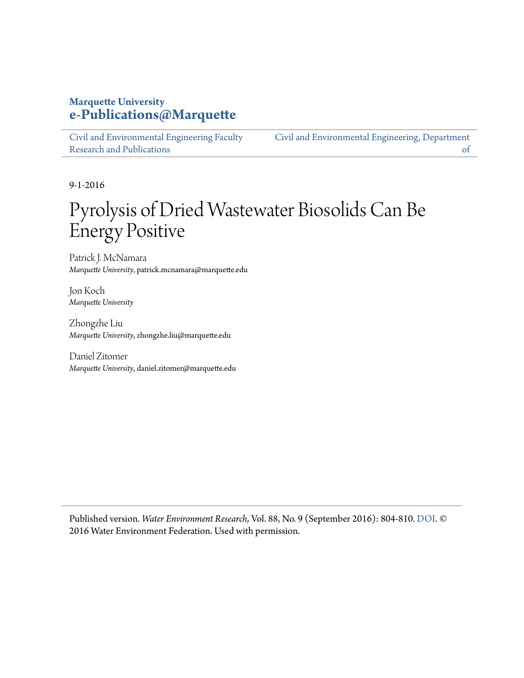# **Marquette University [e-Publications@Marquette](https://epublications.marquette.edu)**

[Civil and Environmental Engineering Faculty](https://epublications.marquette.edu/civengin_fac) [Research and Publications](https://epublications.marquette.edu/civengin_fac)

[Civil and Environmental Engineering, Department](https://epublications.marquette.edu/civengin) [of](https://epublications.marquette.edu/civengin)

9-1-2016

# Pyrolysis of Dried Wastewater Biosolids Can Be Energy Positive

Patrick J. McNamara *Marquette University*, patrick.mcnamara@marquette.edu

Jon Koch *Marquette University*

Zhongzhe Liu *Marquette University*, zhongzhe.liu@marquette.edu

Daniel Zitomer *Marquette University*, daniel.zitomer@marquette.edu

Published version. *Water Environment Research,* Vol. 88, No. 9 (September 2016): 804-810. DOI. © 2016 Water Environment Federation. Used with permission.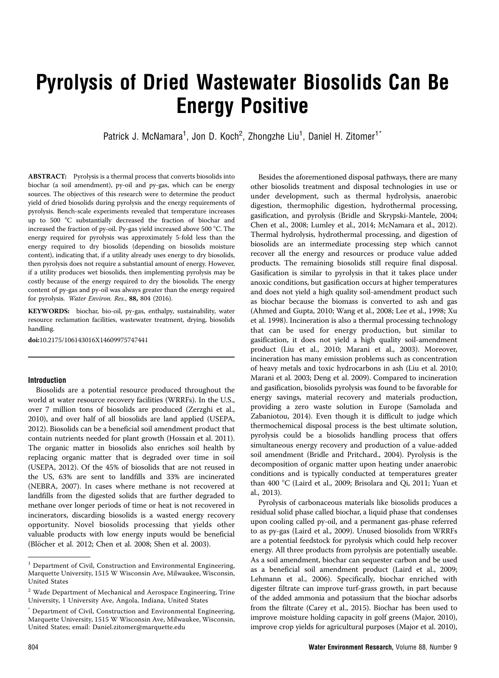# Pyrolysis of Dried Wastewater Biosolids Can Be Energy Positive

Patrick J. McNamara<sup>1</sup>, Jon D. Koch<sup>2</sup>, Zhongzhe Liu<sup>1</sup>, Daniel H. Zitomer<sup>1\*</sup>

ABSTRACT: Pyrolysis is a thermal process that converts biosolids into biochar (a soil amendment), py-oil and py-gas, which can be energy sources. The objectives of this research were to determine the product yield of dried biosolids during pyrolysis and the energy requirements of pyrolysis. Bench-scale experiments revealed that temperature increases up to 500 °C substantially decreased the fraction of biochar and increased the fraction of py-oil. Py-gas yield increased above 500 °C. The energy required for pyrolysis was approximately 5-fold less than the energy required to dry biosolids (depending on biosolids moisture content), indicating that, if a utility already uses energy to dry biosolids, then pyrolysis does not require a substantial amount of energy. However, if a utility produces wet biosolids, then implementing pyrolysis may be costly because of the energy required to dry the biosolids. The energy content of py-gas and py-oil was always greater than the energy required for pyrolysis. Water Environ. Res., 88, 804 (2016).

KEYWORDS: biochar, bio-oil, py-gas, enthalpy, sustainability, water resource reclamation facilities, wastewater treatment, drying, biosolids handling.

doi:10.2175/106143016X14609975747441

### Introduction

Biosolids are a potential resource produced throughout the world at water resource recovery facilities (WRRFs). In the U.S., over 7 million tons of biosolids are produced (Zerzghi et al., 2010), and over half of all biosolids are land applied (USEPA, 2012). Biosolids can be a beneficial soil amendment product that contain nutrients needed for plant growth (Hossain et al. 2011). The organic matter in biosolids also enriches soil health by replacing organic matter that is degraded over time in soil (USEPA, 2012). Of the 45% of biosolids that are not reused in the US, 63% are sent to landfills and 33% are incinerated (NEBRA, 2007). In cases where methane is not recovered at landfills from the digested solids that are further degraded to methane over longer periods of time or heat is not recovered in incinerators, discarding biosolids is a wasted energy recovery opportunity. Novel biosolids processing that yields other valuable products with low energy inputs would be beneficial (Blöcher et al. 2012; Chen et al. 2008; Shen et al. 2003).

Besides the aforementioned disposal pathways, there are many other biosolids treatment and disposal technologies in use or under development, such as thermal hydrolysis, anaerobic digestion, thermophilic digestion, hydrothermal processing, gasification, and pyrolysis (Bridle and Skrypski-Mantele, 2004; Chen et al., 2008; Lumley et al., 2014; McNamara et al., 2012). Thermal hydrolysis, hydrothermal processing, and digestion of biosolids are an intermediate processing step which cannot recover all the energy and resources or produce value added products. The remaining biosolids still require final disposal. Gasification is similar to pyrolysis in that it takes place under anoxic conditions, but gasification occurs at higher temperatures and does not yield a high quality soil-amendment product such as biochar because the biomass is converted to ash and gas (Ahmed and Gupta, 2010; Wang et al., 2008; Lee et al., 1998; Xu et al. 1998). Incineration is also a thermal processing technology that can be used for energy production, but similar to gasification, it does not yield a high quality soil-amendment product (Liu et al., 2010; Marani et al., 2003). Moreover, incineration has many emission problems such as concentration of heavy metals and toxic hydrocarbons in ash (Liu et al. 2010; Marani et al. 2003; Deng et al. 2009). Compared to incineration and gasification, biosolids pyrolysis was found to be favorable for energy savings, material recovery and materials production, providing a zero waste solution in Europe (Samolada and Zabaniotou, 2014). Even though it is difficult to judge which thermochemical disposal process is the best ultimate solution, pyrolysis could be a biosolids handling process that offers simultaneous energy recovery and production of a value-added soil amendment (Bridle and Pritchard., 2004). Pyrolysis is the decomposition of organic matter upon heating under anaerobic conditions and is typically conducted at temperatures greater than 400 °C (Laird et al., 2009; Brisolara and Qi, 2011; Yuan et al., 2013).

Pyrolysis of carbonaceous materials like biosolids produces a residual solid phase called biochar, a liquid phase that condenses upon cooling called py-oil, and a permanent gas-phase referred to as py-gas (Laird et al., 2009). Unused biosolids from WRRFs are a potential feedstock for pyrolysis which could help recover energy. All three products from pyrolysis are potentially useable. As a soil amendment, biochar can sequester carbon and be used as a beneficial soil amendment product (Laird et al., 2009; Lehmann et al., 2006). Specifically, biochar enriched with digester filtrate can improve turf-grass growth, in part because of the added ammonia and potassium that the biochar adsorbs from the filtrate (Carey et al., 2015). Biochar has been used to improve moisture holding capacity in golf greens (Major, 2010), improve crop yields for agricultural purposes (Major et al. 2010),

 $^{\rm 1}$  Department of Civil, Construction and Environmental Engineering, Marquette University, 1515 W Wisconsin Ave, Milwaukee, Wisconsin, United States

 $^{\rm 2}$  Wade Department of Mechanical and Aerospace Engineering, Trine University, 1 University Ave, Angola, Indiana, United States

Department of Civil, Construction and Environmental Engineering, Marquette University, 1515 W Wisconsin Ave, Milwaukee, Wisconsin, United States; email: Daniel.zitomer@marquette.edu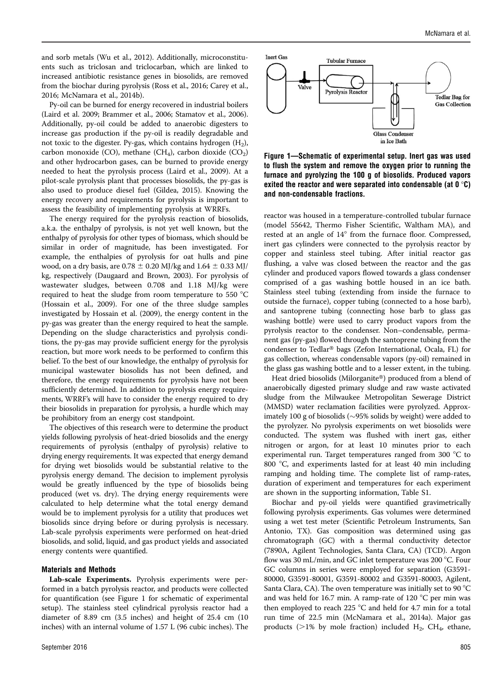and sorb metals (Wu et al., 2012). Additionally, microconstituents such as triclosan and triclocarban, which are linked to increased antibiotic resistance genes in biosolids, are removed from the biochar during pyrolysis (Ross et al., 2016; Carey et al., 2016; McNamara et al., 2014b).

Py-oil can be burned for energy recovered in industrial boilers (Laird et al. 2009; Brammer et al., 2006; Stamatov et al., 2006). Additionally, py-oil could be added to anaerobic digesters to increase gas production if the py-oil is readily degradable and not toxic to the digester. Py-gas, which contains hydrogen  $(H_2)$ , carbon monoxide (CO), methane (CH<sub>4</sub>), carbon dioxide (CO<sub>2</sub>) and other hydrocarbon gases, can be burned to provide energy needed to heat the pyrolysis process (Laird et al., 2009). At a pilot-scale pyrolysis plant that processes biosolids, the py-gas is also used to produce diesel fuel (Gildea, 2015). Knowing the energy recovery and requirements for pyrolysis is important to assess the feasibility of implementing pyrolysis at WRRFs.

The energy required for the pyrolysis reaction of biosolids, a.k.a. the enthalpy of pyrolysis, is not yet well known, but the enthalpy of pyrolysis for other types of biomass, which should be similar in order of magnitude, has been investigated. For example, the enthalpies of pyrolysis for oat hulls and pine wood, on a dry basis, are  $0.78 \pm 0.20$  MJ/kg and  $1.64 \pm 0.33$  MJ/ kg, respectively (Daugaard and Brown, 2003). For pyrolysis of wastewater sludges, between 0.708 and 1.18 MJ/kg were required to heat the sludge from room temperature to 550  $^{\circ}$ C (Hossain et al., 2009). For one of the three sludge samples investigated by Hossain et al. (2009), the energy content in the py-gas was greater than the energy required to heat the sample. Depending on the sludge characteristics and pyrolysis conditions, the py-gas may provide sufficient energy for the pyrolysis reaction, but more work needs to be performed to confirm this belief. To the best of our knowledge, the enthalpy of pyrolysis for municipal wastewater biosolids has not been defined, and therefore, the energy requirements for pyrolysis have not been sufficiently determined. In addition to pyrolysis energy requirements, WRRF's will have to consider the energy required to dry their biosolids in preparation for pyrolysis, a hurdle which may be prohibitory from an energy cost standpoint.

The objectives of this research were to determine the product yields following pyrolysis of heat-dried biosolids and the energy requirements of pyrolysis (enthalpy of pyrolysis) relative to drying energy requirements. It was expected that energy demand for drying wet biosolids would be substantial relative to the pyrolysis energy demand. The decision to implement pyrolysis would be greatly influenced by the type of biosolids being produced (wet vs. dry). The drying energy requirements were calculated to help determine what the total energy demand would be to implement pyrolysis for a utility that produces wet biosolids since drying before or during pyrolysis is necessary. Lab-scale pyrolysis experiments were performed on heat-dried biosolids, and solid, liquid, and gas product yields and associated energy contents were quantified.

#### Materials and Methods

Lab-scale Experiments. Pyrolysis experiments were performed in a batch pyrolysis reactor, and products were collected for quantification (see Figure 1 for schematic of experimental setup). The stainless steel cylindrical pyrolysis reactor had a diameter of 8.89 cm (3.5 inches) and height of 25.4 cm (10 inches) with an internal volume of 1.57 L (96 cubic inches). The



Figure 1—Schematic of experimental setup. Inert gas was used to flush the system and remove the oxygen prior to running the furnace and pyrolyzing the 100 g of biosolids. Produced vapors exited the reactor and were separated into condensable (at  $0^{\circ}C$ ) and non-condensable fractions.

reactor was housed in a temperature-controlled tubular furnace (model 55642, Thermo Fisher Scientific, Waltham MA), and rested at an angle of 14° from the furnace floor. Compressed, inert gas cylinders were connected to the pyrolysis reactor by copper and stainless steel tubing. After initial reactor gas flushing, a valve was closed between the reactor and the gas cylinder and produced vapors flowed towards a glass condenser comprised of a gas washing bottle housed in an ice bath. Stainless steel tubing (extending from inside the furnace to outside the furnace), copper tubing (connected to a hose barb), and santoprene tubing (connecting hose barb to glass gas washing bottle) were used to carry product vapors from the pyrolysis reactor to the condenser. Non–condensable, permanent gas (py-gas) flowed through the santoprene tubing from the condenser to Tedlar® bags (Zefon International, Ocala, FL) for gas collection, whereas condensable vapors (py-oil) remained in the glass gas washing bottle and to a lesser extent, in the tubing.

Heat dried biosolids (Milorganite®) produced from a blend of anaerobically digested primary sludge and raw waste activated sludge from the Milwaukee Metropolitan Sewerage District (MMSD) water reclamation facilities were pyrolyzed. Approximately 100 g of biosolids ( $\sim$ 95% solids by weight) were added to the pyrolyzer. No pyrolysis experiments on wet biosolids were conducted. The system was flushed with inert gas, either nitrogen or argon, for at least 10 minutes prior to each experimental run. Target temperatures ranged from 300  $^{\circ}$ C to 800  $^{\circ}$ C, and experiments lasted for at least 40 min including ramping and holding time. The complete list of ramp-rates, duration of experiment and temperatures for each experiment are shown in the supporting information, Table S1.

Biochar and py-oil yields were quantified gravimetrically following pyrolysis experiments. Gas volumes were determined using a wet test meter (Scientific Petroleum Instruments, San Antonio, TX). Gas composition was determined using gas chromatograph (GC) with a thermal conductivity detector (7890A, Agilent Technologies, Santa Clara, CA) (TCD). Argon flow was 30 mL/min, and GC inlet temperature was 200 °C. Four GC columns in series were employed for separation (G3591- 80000, G3591-80001, G3591-80002 and G3591-80003, Agilent, Santa Clara, CA). The oven temperature was initially set to 90  $^{\circ}$ C and was held for 16.7 min. A ramp-rate of 120  $^{\circ}$ C per min was then employed to reach 225  $^{\circ}$ C and held for 4.7 min for a total run time of 22.5 min (McNamara et al., 2014a). Major gas products ( $>1\%$  by mole fraction) included H<sub>2</sub>, CH<sub>4</sub>, ethane,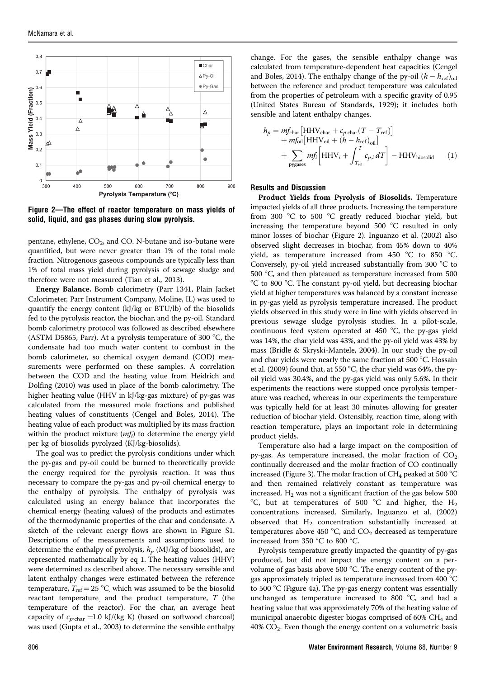

Figure 2—The effect of reactor temperature on mass yields of solid, liquid, and gas phases during slow pyrolysis.

pentane, ethylene,  $CO<sub>2</sub>$ , and CO. N-butane and iso-butane were quantified, but were never greater than 1% of the total mole fraction. Nitrogenous gaseous compounds are typically less than 1% of total mass yield during pyrolysis of sewage sludge and therefore were not measured (Tian et al., 2013).

Energy Balance. Bomb calorimetry (Parr 1341, Plain Jacket Calorimeter, Parr Instrument Company, Moline, IL) was used to quantify the energy content (kJ/kg or BTU/lb) of the biosolids fed to the pyrolysis reactor, the biochar, and the py-oil. Standard bomb calorimetry protocol was followed as described elsewhere (ASTM D5865, Parr). At a pyrolysis temperature of 300  $^{\circ}$ C, the condensate had too much water content to combust in the bomb calorimeter, so chemical oxygen demand (COD) measurements were performed on these samples. A correlation between the COD and the heating value from Heidrich and Dolfing (2010) was used in place of the bomb calorimetry. The higher heating value (HHV in kJ/kg-gas mixture) of py-gas was calculated from the measured mole fractions and published heating values of constituents (Cengel and Boles, 2014). The heating value of each product was multiplied by its mass fraction within the product mixture  $(mf_i)$  to determine the energy yield per kg of biosolids pyrolyzed (KJ/kg-biosolids).

The goal was to predict the pyrolysis conditions under which the py-gas and py-oil could be burned to theoretically provide the energy required for the pyrolysis reaction. It was thus necessary to compare the py-gas and py-oil chemical energy to the enthalpy of pyrolysis. The enthalpy of pyrolysis was calculated using an energy balance that incorporates the chemical energy (heating values) of the products and estimates of the thermodynamic properties of the char and condensate. A sketch of the relevant energy flows are shown in Figure S1. Descriptions of the measurements and assumptions used to determine the enthalpy of pyrolysis,  $h_p$  (MJ/kg of biosolids), are represented mathematically by eq 1. The heating values (HHV) were determined as described above. The necessary sensible and latent enthalpy changes were estimated between the reference temperature,  $T_{\text{ref}} = 25 \text{ °C}$ , which was assumed to be the biosolid reactant temperature, and the product temperature,  $T$  (the temperature of the reactor). For the char, an average heat capacity of  $c_{p,\text{char}} = 1.0 \text{ kJ/(kg K)}$  (based on softwood charcoal) was used (Gupta et al., 2003) to determine the sensible enthalpy change. For the gases, the sensible enthalpy change was calculated from temperature-dependent heat capacities (Cengel and Boles, 2014). The enthalpy change of the py-oil  $(h - h_{\mathrm{ref}})_{\mathrm{oil}}$ between the reference and product temperature was calculated from the properties of petroleum with a specific gravity of 0.95 (United States Bureau of Standards, 1929); it includes both sensible and latent enthalpy changes.

$$
h_p = mf_{\text{char}} \left[ HHV_{\text{char}} + c_{p,\text{char}}(T - T_{\text{ref}}) \right] + mf_{\text{oil}} \left[ HHV_{\text{oil}} + (h - h_{\text{ref}})_{\text{oil}} \right] + \sum_{\text{pygases}} mf_i \left[ HHV_i + \int_{T_{\text{ref}}}^T c_{p,i} dT \right] - HHV_{\text{biosolid}} \tag{1}
$$

#### Results and Discussion

Product Yields from Pyrolysis of Biosolids. Temperature impacted yields of all three products. Increasing the temperature from 300  $\degree$ C to 500  $\degree$ C greatly reduced biochar yield, but increasing the temperature beyond  $500 °C$  resulted in only minor losses of biochar (Figure 2). Inguanzo et al. (2002) also observed slight decreases in biochar, from 45% down to 40% yield, as temperature increased from 450  $\degree$ C to 850  $\degree$ C. Conversely, py-oil yield increased substantially from 300  $^{\circ}$ C to  $500$  °C, and then plateaued as temperature increased from  $500$ °C to 800 °C. The constant py-oil yield, but decreasing biochar yield at higher temperatures was balanced by a constant increase in py-gas yield as pyrolysis temperature increased. The product yields observed in this study were in line with yields observed in previous sewage sludge pyrolysis studies. In a pilot-scale, continuous feed system operated at  $450 \degree C$ , the py-gas yield was 14%, the char yield was 43%, and the py-oil yield was 43% by mass (Bridle & Skryski-Mantele, 2004). In our study the py-oil and char yields were nearly the same fraction at 500  $^{\circ}$ C. Hossain et al. (2009) found that, at 550 °C, the char yield was 64%, the pyoil yield was 30.4%, and the py-gas yield was only 5.6%. In their experiments the reactions were stopped once pyrolysis temperature was reached, whereas in our experiments the temperature was typically held for at least 30 minutes allowing for greater reduction of biochar yield. Ostensibly, reaction time, along with reaction temperature, plays an important role in determining product yields.

Temperature also had a large impact on the composition of py-gas. As temperature increased, the molar fraction of  $CO<sub>2</sub>$ continually decreased and the molar fraction of CO continually increased (Figure 3). The molar fraction of  $CH_4$  peaked at 500 °C and then remained relatively constant as temperature was increased.  $H_2$  was not a significant fraction of the gas below 500 °C, but at temperatures of 500 °C and higher, the  $H_2$ concentrations increased. Similarly, Inguanzo et al. (2002) observed that  $H_2$  concentration substantially increased at temperatures above 450 °C, and  $CO<sub>2</sub>$  decreased as temperature increased from 350  $^{\circ}$ C to 800  $^{\circ}$ C.

Pyrolysis temperature greatly impacted the quantity of py-gas produced, but did not impact the energy content on a pervolume of gas basis above 500  $^{\circ}$ C. The energy content of the pygas approximately tripled as temperature increased from 400  $^{\circ}$ C to 500  $\degree$ C (Figure 4a). The py-gas energy content was essentially unchanged as temperature increased to 800  $^{\circ}$ C, and had a heating value that was approximately 70% of the heating value of municipal anaerobic digester biogas comprised of 60% CH4 and  $40\%$  CO<sub>2</sub>. Even though the energy content on a volumetric basis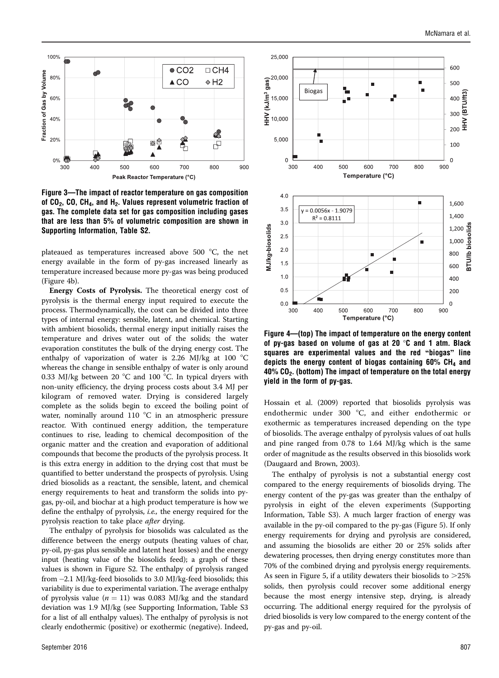

Figure 3—The impact of reactor temperature on gas composition of  $CO<sub>2</sub>$ , CO, CH<sub>4</sub>, and H<sub>2</sub>. Values represent volumetric fraction of gas. The complete data set for gas composition including gases that are less than 5% of volumetric composition are shown in Supporting Information, Table S2.

plateaued as temperatures increased above 500  $^{\circ}$ C, the net energy available in the form of py-gas increased linearly as temperature increased because more py-gas was being produced (Figure 4b).

Energy Costs of Pyrolysis. The theoretical energy cost of pyrolysis is the thermal energy input required to execute the process. Thermodynamically, the cost can be divided into three types of internal energy: sensible, latent, and chemical. Starting with ambient biosolids, thermal energy input initially raises the temperature and drives water out of the solids; the water evaporation constitutes the bulk of the drying energy cost. The enthalpy of vaporization of water is 2.26 MJ/kg at 100  $^{\circ}$ C whereas the change in sensible enthalpy of water is only around 0.33 MJ/kg between 20  $^{\circ}$ C and 100  $^{\circ}$ C. In typical dryers with non-unity efficiency, the drying process costs about 3.4 MJ per kilogram of removed water. Drying is considered largely complete as the solids begin to exceed the boiling point of water, nominally around 110  $\degree$ C in an atmospheric pressure reactor. With continued energy addition, the temperature continues to rise, leading to chemical decomposition of the organic matter and the creation and evaporation of additional compounds that become the products of the pyrolysis process. It is this extra energy in addition to the drying cost that must be quantified to better understand the prospects of pyrolysis. Using dried biosolids as a reactant, the sensible, latent, and chemical energy requirements to heat and transform the solids into pygas, py-oil, and biochar at a high product temperature is how we define the enthalpy of pyrolysis, i.e., the energy required for the pyrolysis reaction to take place *after* drying.

The enthalpy of pyrolysis for biosolids was calculated as the difference between the energy outputs (heating values of char, py-oil, py-gas plus sensible and latent heat losses) and the energy input (heating value of the biosolids feed); a graph of these values is shown in Figure S2. The enthalpy of pyrolysis ranged from -2.1 MJ/kg-feed biosolids to 3.0 MJ/kg-feed biosolids; this variability is due to experimental variation. The average enthalpy of pyrolysis value ( $n = 11$ ) was 0.083 MJ/kg and the standard deviation was 1.9 MJ/kg (see Supporting Information, Table S3 for a list of all enthalpy values). The enthalpy of pyrolysis is not clearly endothermic (positive) or exothermic (negative). Indeed,



Figure 4—(top) The impact of temperature on the energy content of py-gas based on volume of gas at 20  $\degree$ C and 1 atm. Black squares are experimental values and the red ''biogas'' line depicts the energy content of biogas containing  $60\%$  CH<sub>4</sub> and  $40\%$  CO<sub>2</sub>. (bottom) The impact of temperature on the total energy yield in the form of py-gas.

Hossain et al. (2009) reported that biosolids pyrolysis was endothermic under 300  $^{\circ}$ C, and either endothermic or exothermic as temperatures increased depending on the type of biosolids. The average enthalpy of pyrolysis values of oat hulls and pine ranged from 0.78 to 1.64 MJ/kg which is the same order of magnitude as the results observed in this biosolids work (Daugaard and Brown, 2003).

The enthalpy of pyrolysis is not a substantial energy cost compared to the energy requirements of biosolids drying. The energy content of the py-gas was greater than the enthalpy of pyrolysis in eight of the eleven experiments (Supporting Information, Table S3). A much larger fraction of energy was available in the py-oil compared to the py-gas (Figure 5). If only energy requirements for drying and pyrolysis are considered, and assuming the biosolids are either 20 or 25% solids after dewatering processes, then drying energy constitutes more than 70% of the combined drying and pyrolysis energy requirements. As seen in Figure 5, if a utility dewaters their biosolids to  $>25\%$ solids, then pyrolysis could recover some additional energy because the most energy intensive step, drying, is already occurring. The additional energy required for the pyrolysis of dried biosolids is very low compared to the energy content of the py-gas and py-oil.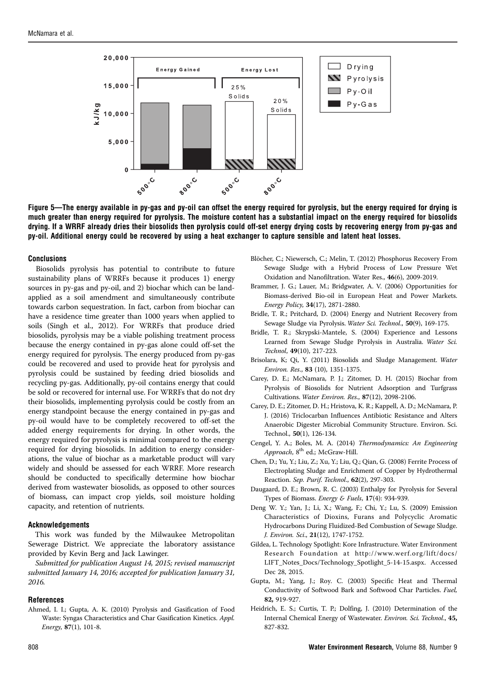

Figure 5—The energy available in py-gas and py-oil can offset the energy required for pyrolysis, but the energy required for drying is much greater than energy required for pyrolysis. The moisture content has a substantial impact on the energy required for biosolids drying. If a WRRF already dries their biosolids then pyrolysis could off-set energy drying costs by recovering energy from py-gas and py-oil. Additional energy could be recovered by using a heat exchanger to capture sensible and latent heat losses.

#### Conclusions

Biosolids pyrolysis has potential to contribute to future sustainability plans of WRRFs because it produces 1) energy sources in py-gas and py-oil, and 2) biochar which can be landapplied as a soil amendment and simultaneously contribute towards carbon sequestration. In fact, carbon from biochar can have a residence time greater than 1000 years when applied to soils (Singh et al., 2012). For WRRFs that produce dried biosolids, pyrolysis may be a viable polishing treatment process because the energy contained in py-gas alone could off-set the energy required for pyrolysis. The energy produced from py-gas could be recovered and used to provide heat for pyrolysis and pyrolysis could be sustained by feeding dried biosolids and recycling py-gas. Additionally, py-oil contains energy that could be sold or recovered for internal use. For WRRFs that do not dry their biosolids, implementing pyrolysis could be costly from an energy standpoint because the energy contained in py-gas and py-oil would have to be completely recovered to off-set the added energy requirements for drying. In other words, the energy required for pyrolysis is minimal compared to the energy required for drying biosolids. In addition to energy considerations, the value of biochar as a marketable product will vary widely and should be assessed for each WRRF. More research should be conducted to specifically determine how biochar derived from wastewater biosolids, as opposed to other sources of biomass, can impact crop yields, soil moisture holding capacity, and retention of nutrients.

#### Acknowledgements

This work was funded by the Milwaukee Metropolitan Sewerage District. We appreciate the laboratory assistance provided by Kevin Berg and Jack Lawinger.

Submitted for publication August 14, 2015; revised manuscript submitted January 14, 2016; accepted for publication January 31, 2016.

### **References**

Ahmed, I. I.; Gupta, A. K. (2010) Pyrolysis and Gasification of Food Waste: Syngas Characteristics and Char Gasification Kinetics. Appl. Energy, 87(1), 101-8.

- Blöcher, C.; Niewersch, C.; Melin, T. (2012) Phosphorus Recovery From Sewage Sludge with a Hybrid Process of Low Pressure Wet Oxidation and Nanofiltration. Water Res., 46(6), 2009-2019.
- Brammer, J. G.; Lauer, M.; Bridgwater, A. V. (2006) Opportunities for Biomass-derived Bio-oil in European Heat and Power Markets. Energy Policy, 34(17), 2871-2880.
- Bridle, T. R.; Pritchard, D. (2004) Energy and Nutrient Recovery from Sewage Sludge via Pyrolysis. Water Sci. Technol., 50(9), 169-175.
- Bridle, T. R.; Skrypski-Mantele, S. (2004) Experience and Lessons Learned from Sewage Sludge Pyrolysis in Australia. Water Sci. Technol, 49(10), 217-223.
- Brisolara, K; Qi, Y. (2011) Biosolids and Sludge Management. Water Environ. Res., 83 (10), 1351-1375.
- Carey, D. E.; McNamara, P. J.; Zitomer, D. H. (2015) Biochar from Pyrolysis of Biosolids for Nutrient Adsorption and Turfgrass Cultivations. Water Environ. Res., 87(12), 2098-2106.
- Carey, D. E.; Zitomer, D. H.; Hristova, K. R.; Kappell, A. D.; McNamara, P. J. (2016) Triclocarban Influences Antibiotic Resistance and Alters Anaerobic Digester Microbial Community Structure. Environ. Sci. Technol., 50(1), 126-134.
- Cengel, Y. A.; Boles, M. A. (2014) Thermodynamics: An Engineering Approach, 8<sup>th</sup> ed.; McGraw-Hill.
- Chen, D.; Yu, Y.; Liu, Z.; Xu, Y.; Liu, Q.; Qian, G. (2008) Ferrite Process of Electroplating Sludge and Enrichment of Copper by Hydrothermal Reaction. Sep. Purif. Technol., 62(2), 297-303.
- Daugaard, D. E.; Brown, R. C. (2003) Enthalpy for Pyrolysis for Several Types of Biomass. Energy & Fuels, 17(4): 934-939.
- Deng W. Y.; Yan, J.; Li, X.; Wang, F.; Chi, Y.; Lu, S. (2009) Emission Characteristics of Dioxins, Furans and Polycyclic Aromatic Hydrocarbons During Fluidized-Bed Combustion of Sewage Sludge. J. Environ. Sci., 21(12), 1747-1752.
- Gildea, L. Technology Spotlight: Kore Infrastructure. Water Environment Research Foundation at http://www.werf.org/lift/docs/ LIFT\_Notes\_Docs/Technology\_Spotlight\_5-14-15.aspx. Accessed Dec 28, 2015.
- Gupta, M.; Yang, J.; Roy. C. (2003) Specific Heat and Thermal Conductivity of Softwood Bark and Softwood Char Particles. Fuel, 82, 919-927.
- Heidrich, E. S.; Curtis, T. P.; Dolfing, J. (2010) Determination of the Internal Chemical Energy of Wastewater. Environ. Sci. Technol., 45, 827-832.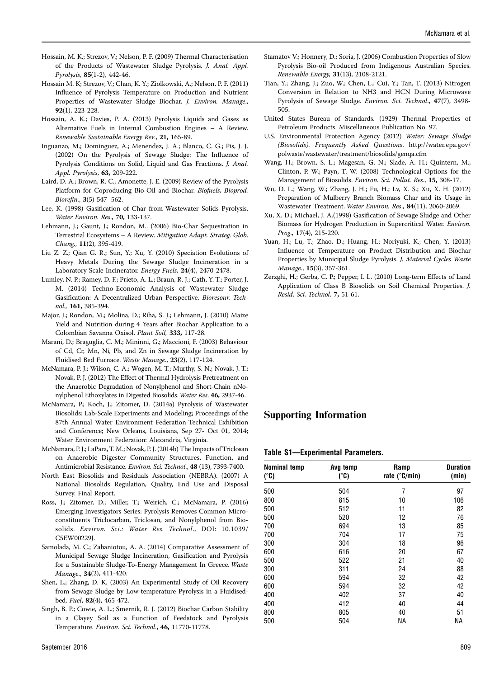- Hossain, M. K.; Strezov, V.; Nelson, P. F. (2009) Thermal Characterisation of the Products of Wastewater Sludge Pyrolysis. J. Anal. Appl. Pyrolysis, 85(1-2), 442-46.
- Hossain M. K; Strezov, V.; Chan, K. Y.; Ziolkowski, A.; Nelson, P. F. (2011) Influence of Pyrolysis Temperature on Production and Nutrient Properties of Wastewater Sludge Biochar. J. Environ. Manage., 92(1), 223-228.
- Hossain, A. K.; Davies, P. A. (2013) Pyrolysis Liquids and Gases as Alternative Fuels in Internal Combustion Engines – A Review. Renewable Sustainable Energy Rev., 21, 165-89.
- Inguanzo, M.; Dominguez, A.; Menendez, J. A.; Blanco, C. G.; Pis, J. J. (2002) On the Pyrolysis of Sewage Sludge: The Influence of Pyrolysis Conditions on Solid, Liquid and Gas Fractions. J. Anal. Appl. Pyrolysis, 63, 209-222.
- Laird, D. A.; Brown, R. C.; Amonette, J. E. (2009) Review of the Pyrolysis Platform for Coproducing Bio-Oil and Biochar. Biofuels, Bioprod. Biorefin., 3(5) 547–562.
- Lee, K. (1998) Gasification of Char from Wastewater Solids Pyrolysis. Water Environ. Res., 70, 133-137.
- Lehmann, J.; Gaunt, J.; Rondon, M.. (2006) Bio-Char Sequestration in Terrestrial Ecosystems – A Review. Mitigation Adapt. Strateg. Glob. Chang., 11(2), 395-419.
- Liu Z. Z.; Qian G. R.; Sun, Y.; Xu, Y. (2010) Speciation Evolutions of Heavy Metals During the Sewage Sludge Incineration in a Laboratory Scale Incinerator. Energy Fuels, 24(4), 2470-2478.
- Lumley, N. P.; Ramey, D. F.; Prieto, A. L.; Braun, R. J.; Cath, Y. T.; Porter, J. M. (2014) Techno-Economic Analysis of Wastewater Sludge Gasification: A Decentralized Urban Perspective. Bioresour. Technol., 161, 385-394.
- Major, J.; Rondon, M.; Molina, D.; Riha, S. J.; Lehmann, J. (2010) Maize Yield and Nutrition during 4 Years after Biochar Application to a Colombian Savanna Oxisol. Plant Soil, 333, 117-28.
- Marani, D.; Braguglia, C. M.; Mininni, G.; Maccioni, F. (2003) Behaviour of Cd, Cr, Mn, Ni, Pb, and Zn in Sewage Sludge Incineration by Fluidised Bed Furnace. Waste Manage., 23(2), 117-124.
- McNamara, P. J.; Wilson, C. A.; Wogen, M. T.; Murthy, S. N.; Novak, J. T.; Novak, P. J. (2012) The Effect of Thermal Hydrolysis Pretreatment on the Anaerobic Degradation of Nonylphenol and Short-Chain nNonylphenol Ethoxylates in Digested Biosolids.Water Res. 46, 2937-46.
- McNamara, P.; Koch, J.; Zitomer, D. (2014a) Pyrolysis of Wastewater Biosolids: Lab-Scale Experiments and Modeling; Proceedings of the 87th Annual Water Environment Federation Technical Exhibition and Conference; New Orleans, Louisiana, Sep 27- Oct 01, 2014; Water Environment Federation: Alexandria, Virginia.
- McNamara, P. J.; LaPara,T. M.; Novak, P. J. (2014b) The Impacts of Triclosan on Anaerobic Digester Community Structures, Function, and Antimicrobial Resistance. Environ. Sci. Technol., 48 (13), 7393-7400.
- North East Biosolids and Residuals Association (NEBRA). (2007) A National Biosolids Regulation, Quality, End Use and Disposal Survey. Final Report.
- Ross, J.; Zitomer, D.; Miller, T.; Weirich, C.; McNamara, P. (2016) Emerging Investigators Series: Pyrolysis Removes Common Microconstituents Triclocarban, Triclosan, and Nonylphenol from Biosolids. Environ. Sci.: Water Res. Technol., DOI: 10.1039/ C5EW00229J.
- Samolada, M. C.; Zabaniotou, A. A. (2014) Comparative Assessment of Municipal Sewage Sludge Incineration, Gasification and Pyrolysis for a Sustainable Sludge-To-Energy Management In Greece. Waste Manage., 34(2), 411-420.
- Shen, L.; Zhang, D. K. (2003) An Experimental Study of Oil Recovery from Sewage Sludge by Low-temperature Pyrolysis in a Fluidisedbed. Fuel, 82(4), 465-472.
- Singh, B. P.; Cowie, A. L.; Smernik, R. J. (2012) Biochar Carbon Stability in a Clayey Soil as a Function of Feedstock and Pyrolysis Temperature. Environ. Sci. Technol., 46, 11770-11778.
- Stamatov V.; Honnery, D.; Soria, J. (2006) Combustion Properties of Slow Pyrolysis Bio-oil Produced from Indigenous Australian Species. Renewable Energy, 31(13), 2108-2121.
- Tian, Y.; Zhang, J.; Zuo, W.; Chen, L.; Cui, Y.; Tan, T. (2013) Nitrogen Conversion in Relation to NH3 and HCN During Microwave Pyrolysis of Sewage Sludge. Environ. Sci. Technol., 47(7), 3498- 505.
- United States Bureau of Standards. (1929) Thermal Properties of Petroleum Products. Miscellaneous Publication No. 97.
- U.S. Environmental Protection Agency (2012) Water: Sewage Sludge (Biosolids). Frequently Asked Questions. http://water.epa.gov/ polwaste/wastewater/treatment/biosolids/genqa.cfm
- Wang, H.; Brown, S. L.; Magesan, G. N.; Slade, A. H.; Quintern, M.; Clinton, P. W.; Payn, T. W. (2008) Technological Options for the Management of Biosolids. Environ. Sci. Pollut. Res., 15, 308-17.
- Wu, D. L.; Wang, W.; Zhang, J. H.; Fu, H.; Lv, X. S.; Xu, X. H. (2012) Preparation of Mulberry Branch Biomass Char and its Usage in Wastewater Treatment. Water Environ. Res., 84(11), 2060-2069.
- Xu, X. D.; Michael, J. A.(1998) Gasification of Sewage Sludge and Other Biomass for Hydrogen Production in Supercritical Water. Environ. Prog., 17(4), 215-220.
- Yuan, H.; Lu, T.; Zhao, D.; Huang, H.; Noriyuki, K.; Chen, Y. (2013) Influence of Temperature on Product Distribution and Biochar Properties by Municipal Sludge Pyrolysis. J. Material Cycles Waste Manage., 15(3), 357-361.
- Zerzghi, H.; Gerba, C. P.; Pepper, I. L. (2010) Long-term Effects of Land Application of Class B Biosolids on Soil Chemical Properties. J. Resid. Sci. Technol. 7, 51-61.

# Supporting Information

#### Table S1—Experimental Parameters.

| <b>Nominal temp</b><br>(°C) | Avg temp<br>(°C) | Ramp<br>rate ( $^{\circ}$ C/min) | <b>Duration</b><br>(min) |  |
|-----------------------------|------------------|----------------------------------|--------------------------|--|
| 500                         | 504              | 7                                | 97                       |  |
| 800                         | 815              | 10                               | 106                      |  |
| 500                         | 512              | 11                               | 82                       |  |
| 500                         | 520              | 12                               | 76                       |  |
| 700                         | 694              | 13                               | 85                       |  |
| 700                         | 704              | 17                               | 75                       |  |
| 300                         | 304              | 18                               | 96                       |  |
| 600                         | 616              | 20                               | 67                       |  |
| 500                         | 522              | 21                               | 40                       |  |
| 300                         | 311              | 24                               | 88                       |  |
| 600                         | 594              | 32                               | 42                       |  |
| 600                         | 594              | 32                               | 42                       |  |
| 400                         | 402              | 37                               | 40                       |  |
| 400                         | 412              | 40                               | 44                       |  |
| 800                         | 805              | 40                               | 51                       |  |
| 500                         | 504              | NА                               | NА                       |  |